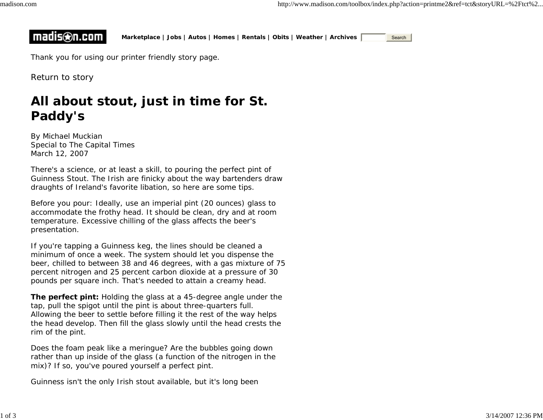## madis⊛n.com

**Marketplace | Jobs | Autos | Homes | Rentals | Obits | Weather | Archives | Search | Search | Rearch | Search | Search | Search | Search | Search | Search | Search | Search | Search | Search | Search | Search | Search | S** 

Thank you for using our printer friendly story page.

Return to story

## **All about stout, just in time for St. Paddy's**

By Michael Muckian *Special to The Capital Times* March 12, 2007

There's a science, or at least a skill, to pouring the perfect pint of Guinness Stout. The Irish are finicky about the way bartenders draw draughts of Ireland's favorite libation, so here are some tips.

Before you pour: Ideally, use an imperial pint (20 ounces) glass to accommodate the frothy head. It should be clean, dry and at room temperature. Excessive chilling of the glass affects the beer's presentation.

If you're tapping a Guinness keg, the lines should be cleaned a minimum of once a week. The system should let you dispense the beer, chilled to between 38 and 46 degrees, with a gas mixture of 75 percent nitrogen and 25 percent carbon dioxide at a pressure of 30 pounds per square inch. That's needed to attain a creamy head.

**The perfect pint:** Holding the glass at a 45-degree angle under the tap, pull the spigot until the pint is about three-quarters full. Allowing the beer to settle before filling it the rest of the way helps the head develop. Then fill the glass slowly until the head crests the rim of the pint.

Does the foam peak like a meringue? Are the bubbles going down rather than up inside of the glass (a function of the nitrogen in the mix)? If so, you've poured yourself a perfect pint.

Guinness isn't the only Irish stout available, but it's long been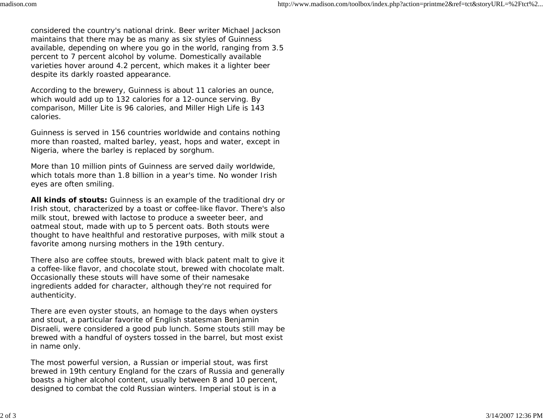considered the country's national drink. Beer writer Michael Jackson maintains that there may be as many as six styles of Guinness available, depending on where you go in the world, ranging from 3.5 percent to 7 percent alcohol by volume. Domestically available varieties hover around 4.2 percent, which makes it a lighter beer despite its darkly roasted appearance.

According to the brewery, Guinness is about 11 calories an ounce, which would add up to 132 calories for a 12-ounce serving. By comparison, Miller Lite is 96 calories, and Miller High Life is 143 calories.

Guinness is served in 156 countries worldwide and contains nothing more than roasted, malted barley, yeast, hops and water, except in Nigeria, where the barley is replaced by sorghum.

More than 10 million pints of Guinness are served daily worldwide, which totals more than 1.8 billion in a year's time. No wonder Irish eyes are often smiling.

**All kinds of stouts:** Guinness is an example of the traditional dry or Irish stout, characterized by a toast or coffee-like flavor. There's also milk stout, brewed with lactose to produce a sweeter beer, and oatmeal stout, made with up to 5 percent oats. Both stouts were thought to have healthful and restorative purposes, with milk stout a favorite among nursing mothers in the 19th century.

There also are coffee stouts, brewed with black patent malt to give it a coffee-like flavor, and chocolate stout, brewed with chocolate malt. Occasionally these stouts will have some of their namesake ingredients added for character, although they're not required for authenticity.

There are even oyster stouts, an homage to the days when oysters and stout, a particular favorite of English statesman Benjamin Disraeli, were considered a good pub lunch. Some stouts still may be brewed with a handful of oysters tossed in the barrel, but most exist in name only.

The most powerful version, a Russian or imperial stout, was first brewed in 19th century England for the czars of Russia and generally boasts a higher alcohol content, usually between 8 and 10 percent, designed to combat the cold Russian winters. Imperial stout is in a